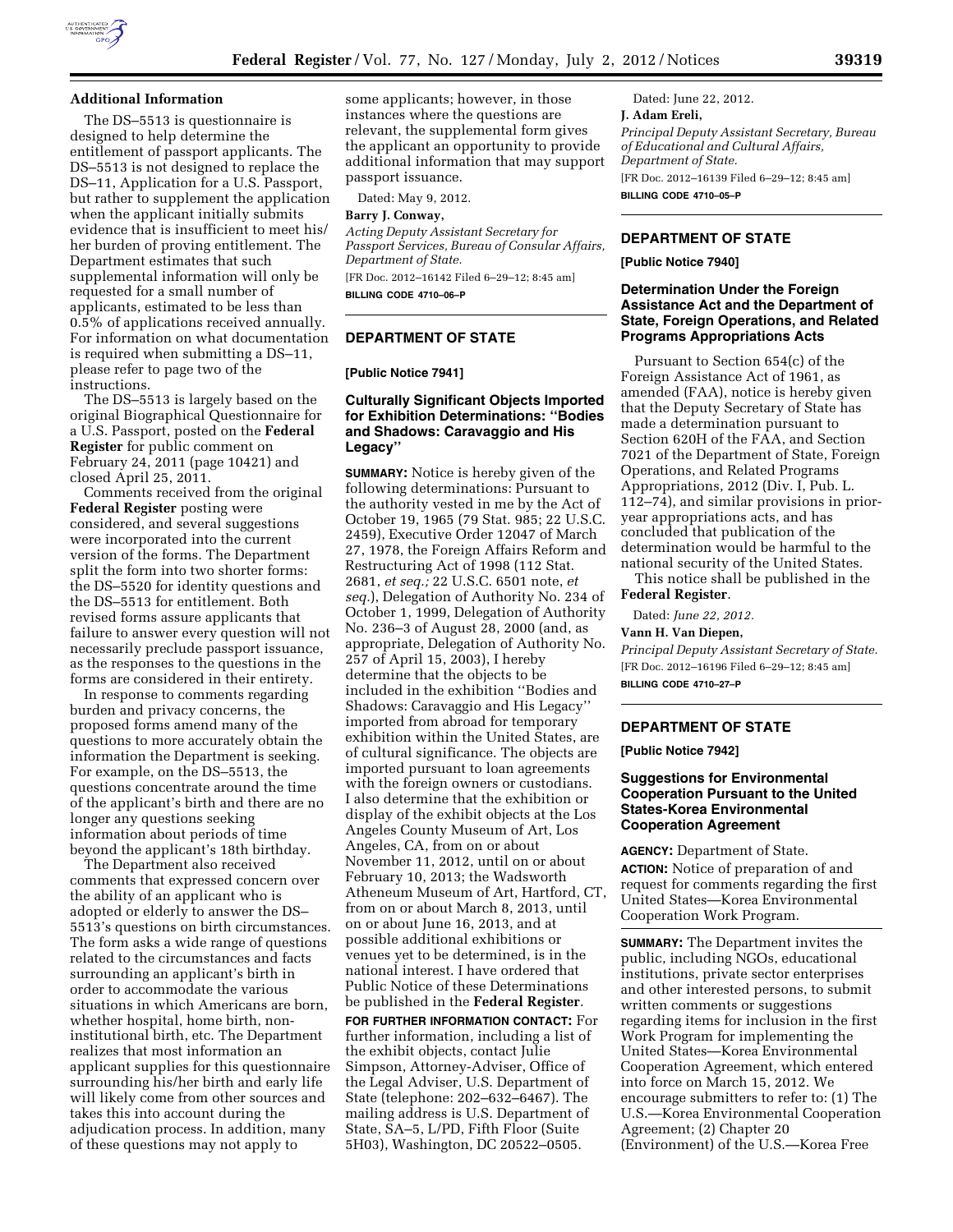

#### **Additional Information**

The DS–5513 is questionnaire is designed to help determine the entitlement of passport applicants. The DS–5513 is not designed to replace the DS–11, Application for a U.S. Passport, but rather to supplement the application when the applicant initially submits evidence that is insufficient to meet his/ her burden of proving entitlement. The Department estimates that such supplemental information will only be requested for a small number of applicants, estimated to be less than 0.5% of applications received annually. For information on what documentation is required when submitting a DS–11, please refer to page two of the instructions.

The DS–5513 is largely based on the original Biographical Questionnaire for a U.S. Passport, posted on the **Federal Register** for public comment on February 24, 2011 (page 10421) and closed April 25, 2011.

Comments received from the original **Federal Register** posting were considered, and several suggestions were incorporated into the current version of the forms. The Department split the form into two shorter forms: the DS–5520 for identity questions and the DS–5513 for entitlement. Both revised forms assure applicants that failure to answer every question will not necessarily preclude passport issuance, as the responses to the questions in the forms are considered in their entirety.

In response to comments regarding burden and privacy concerns, the proposed forms amend many of the questions to more accurately obtain the information the Department is seeking. For example, on the DS–5513, the questions concentrate around the time of the applicant's birth and there are no longer any questions seeking information about periods of time beyond the applicant's 18th birthday.

The Department also received comments that expressed concern over the ability of an applicant who is adopted or elderly to answer the DS– 5513's questions on birth circumstances. The form asks a wide range of questions related to the circumstances and facts surrounding an applicant's birth in order to accommodate the various situations in which Americans are born, whether hospital, home birth, noninstitutional birth, etc. The Department realizes that most information an applicant supplies for this questionnaire surrounding his/her birth and early life will likely come from other sources and takes this into account during the adjudication process. In addition, many of these questions may not apply to

some applicants; however, in those instances where the questions are relevant, the supplemental form gives the applicant an opportunity to provide additional information that may support passport issuance.

Dated: May 9, 2012.

#### **Barry J. Conway,**

*Acting Deputy Assistant Secretary for Passport Services, Bureau of Consular Affairs, Department of State.*  [FR Doc. 2012–16142 Filed 6–29–12; 8:45 am]

**BILLING CODE 4710–06–P** 

# **DEPARTMENT OF STATE**

#### **[Public Notice 7941]**

### **Culturally Significant Objects Imported for Exhibition Determinations: ''Bodies and Shadows: Caravaggio and His Legacy''**

**SUMMARY:** Notice is hereby given of the following determinations: Pursuant to the authority vested in me by the Act of October 19, 1965 (79 Stat. 985; 22 U.S.C. 2459), Executive Order 12047 of March 27, 1978, the Foreign Affairs Reform and Restructuring Act of 1998 (112 Stat. 2681, *et seq.;* 22 U.S.C. 6501 note, *et seq.*), Delegation of Authority No. 234 of October 1, 1999, Delegation of Authority No. 236–3 of August 28, 2000 (and, as appropriate, Delegation of Authority No. 257 of April 15, 2003), I hereby determine that the objects to be included in the exhibition ''Bodies and Shadows: Caravaggio and His Legacy'' imported from abroad for temporary exhibition within the United States, are of cultural significance. The objects are imported pursuant to loan agreements with the foreign owners or custodians. I also determine that the exhibition or display of the exhibit objects at the Los Angeles County Museum of Art, Los Angeles, CA, from on or about November 11, 2012, until on or about February 10, 2013; the Wadsworth Atheneum Museum of Art, Hartford, CT, from on or about March 8, 2013, until on or about June 16, 2013, and at possible additional exhibitions or venues yet to be determined, is in the national interest. I have ordered that Public Notice of these Determinations be published in the **Federal Register**.

**FOR FURTHER INFORMATION CONTACT:** For further information, including a list of the exhibit objects, contact Julie Simpson, Attorney-Adviser, Office of the Legal Adviser, U.S. Department of State (telephone: 202–632–6467). The mailing address is U.S. Department of State, SA–5, L/PD, Fifth Floor (Suite 5H03), Washington, DC 20522–0505.

Dated: June 22, 2012. **J. Adam Ereli,**  *Principal Deputy Assistant Secretary, Bureau of Educational and Cultural Affairs, Department of State.*  [FR Doc. 2012–16139 Filed 6–29–12; 8:45 am] **BILLING CODE 4710–05–P** 

## **DEPARTMENT OF STATE**

**[Public Notice 7940]** 

### **Determination Under the Foreign Assistance Act and the Department of State, Foreign Operations, and Related Programs Appropriations Acts**

Pursuant to Section 654(c) of the Foreign Assistance Act of 1961, as amended (FAA), notice is hereby given that the Deputy Secretary of State has made a determination pursuant to Section 620H of the FAA, and Section 7021 of the Department of State, Foreign Operations, and Related Programs Appropriations, 2012 (Div. I, Pub. L. 112–74), and similar provisions in prioryear appropriations acts, and has concluded that publication of the determination would be harmful to the national security of the United States.

This notice shall be published in the **Federal Register**.

Dated: *June 22, 2012.* 

**Vann H. Van Diepen,** 

*Principal Deputy Assistant Secretary of State.*  [FR Doc. 2012–16196 Filed 6–29–12; 8:45 am]

**BILLING CODE 4710–27–P** 

# **DEPARTMENT OF STATE**

**[Public Notice 7942]** 

### **Suggestions for Environmental Cooperation Pursuant to the United States-Korea Environmental Cooperation Agreement**

**AGENCY:** Department of State.

**ACTION:** Notice of preparation of and request for comments regarding the first United States—Korea Environmental Cooperation Work Program.

**SUMMARY:** The Department invites the public, including NGOs, educational institutions, private sector enterprises and other interested persons, to submit written comments or suggestions regarding items for inclusion in the first Work Program for implementing the United States—Korea Environmental Cooperation Agreement, which entered into force on March 15, 2012. We encourage submitters to refer to: (1) The U.S.—Korea Environmental Cooperation Agreement; (2) Chapter 20 (Environment) of the U.S.—Korea Free